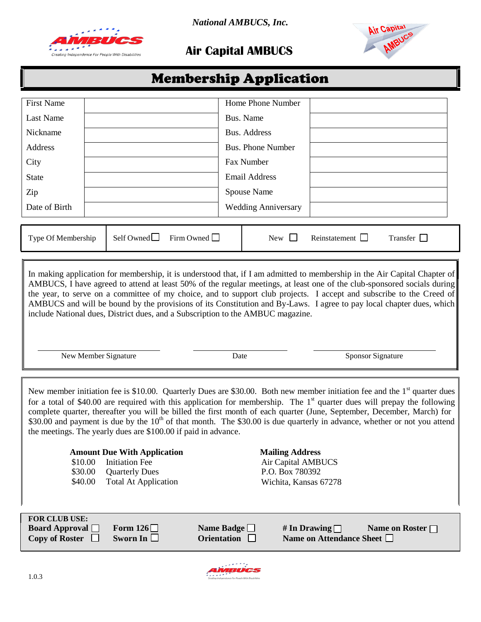

*National AMBUCS, Inc.*



I

**Air Capital AMBUCS**

#### Membership Application

| <b>First Name</b><br><b>Last Name</b><br>Nickname<br>Address<br>City<br><b>State</b><br>Zip<br>Date of Birth                                                                                                                                                                                                                                                                                                                                                                                                                                                                                                                                                                                                                                                                                                                                             |  |                                      |                   |                                         | Home Phone Number<br>Bus. Name<br><b>Bus. Address</b><br><b>Bus. Phone Number</b><br>Fax Number<br><b>Email Address</b><br>Spouse Name<br><b>Wedding Anniversary</b> |                                                   |  |                       |  |
|----------------------------------------------------------------------------------------------------------------------------------------------------------------------------------------------------------------------------------------------------------------------------------------------------------------------------------------------------------------------------------------------------------------------------------------------------------------------------------------------------------------------------------------------------------------------------------------------------------------------------------------------------------------------------------------------------------------------------------------------------------------------------------------------------------------------------------------------------------|--|--------------------------------------|-------------------|-----------------------------------------|----------------------------------------------------------------------------------------------------------------------------------------------------------------------|---------------------------------------------------|--|-----------------------|--|
| Type Of Membership                                                                                                                                                                                                                                                                                                                                                                                                                                                                                                                                                                                                                                                                                                                                                                                                                                       |  | Self Owned $\square$                 | Firm Owned $\Box$ |                                         | New $\Box$                                                                                                                                                           | Reinstatement <sup>1</sup>                        |  | Transfer $\Box$       |  |
| In making application for membership, it is understood that, if I am admitted to membership in the Air Capital Chapter of<br>AMBUCS, I have agreed to attend at least 50% of the regular meetings, at least one of the club-sponsored socials during<br>the year, to serve on a committee of my choice, and to support club projects. I accept and subscribe to the Creed of<br>AMBUCS and will be bound by the provisions of its Constitution and By-Laws. I agree to pay local chapter dues, which<br>include National dues, District dues, and a Subscription to the AMBUC magazine.<br>New Member Signature<br><b>Sponsor Signature</b><br>Date                                                                                                                                                                                                      |  |                                      |                   |                                         |                                                                                                                                                                      |                                                   |  |                       |  |
| New member initiation fee is \$10.00. Quarterly Dues are \$30.00. Both new member initiation fee and the $1st$ quarter dues<br>for a total of \$40.00 are required with this application for membership. The $1st$ quarter dues will prepay the following<br>complete quarter, thereafter you will be billed the first month of each quarter (June, September, December, March) for<br>\$30.00 and payment is due by the 10 <sup>th</sup> of that month. The \$30.00 is due quarterly in advance, whether or not you attend<br>the meetings. The yearly dues are \$100.00 if paid in advance.<br><b>Amount Due With Application</b><br><b>Mailing Address</b><br>\$10.00<br><b>Initiation Fee</b><br><b>Air Capital AMBUCS</b><br>P.O. Box 780392<br>\$30.00<br><b>Quarterly Dues</b><br>\$40.00<br><b>Total At Application</b><br>Wichita, Kansas 67278 |  |                                      |                   |                                         |                                                                                                                                                                      |                                                   |  |                       |  |
| <b>FOR CLUB USE:</b><br><b>Board Approval</b><br><b>Copy of Roster</b>                                                                                                                                                                                                                                                                                                                                                                                                                                                                                                                                                                                                                                                                                                                                                                                   |  | Form $126\Box$<br>Sworn In $\square$ |                   | Name Badge $\Box$<br><b>Orientation</b> | $\perp$                                                                                                                                                              | # In Drawing $\Box$<br>Name on Attendance Sheet □ |  | Name on Roster $\Box$ |  |